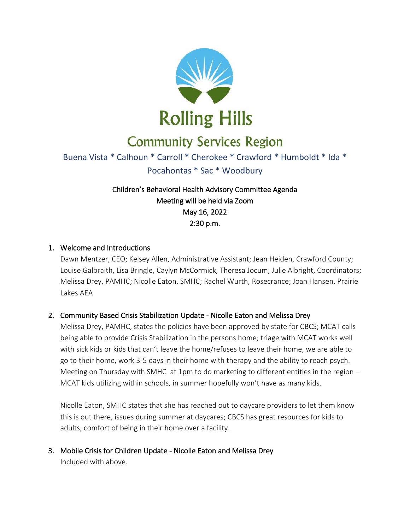

# **Community Services Region**

## Buena Vista \* Calhoun \* Carroll \* Cherokee \* Crawford \* Humboldt \* Ida \* Pocahontas \* Sac \* Woodbury

### Children's Behavioral Health Advisory Committee Agenda Meeting will be held via Zoom May 16, 2022 2:30 p.m.

#### 1. Welcome and Introductions

Dawn Mentzer, CEO; Kelsey Allen, Administrative Assistant; Jean Heiden, Crawford County; Louise Galbraith, Lisa Bringle, Caylyn McCormick, Theresa Jocum, Julie Albright, Coordinators; Melissa Drey, PAMHC; Nicolle Eaton, SMHC; Rachel Wurth, Rosecrance; Joan Hansen, Prairie Lakes AEA

#### 2. Community Based Crisis Stabilization Update - Nicolle Eaton and Melissa Drey

Melissa Drey, PAMHC, states the policies have been approved by state for CBCS; MCAT calls being able to provide Crisis Stabilization in the persons home; triage with MCAT works well with sick kids or kids that can't leave the home/refuses to leave their home, we are able to go to their home, work 3-5 days in their home with therapy and the ability to reach psych. Meeting on Thursday with SMHC at 1pm to do marketing to different entities in the region – MCAT kids utilizing within schools, in summer hopefully won't have as many kids.

Nicolle Eaton, SMHC states that she has reached out to daycare providers to let them know this is out there, issues during summer at daycares; CBCS has great resources for kids to adults, comfort of being in their home over a facility.

3. Mobile Crisis for Children Update - Nicolle Eaton and Melissa Drey Included with above.